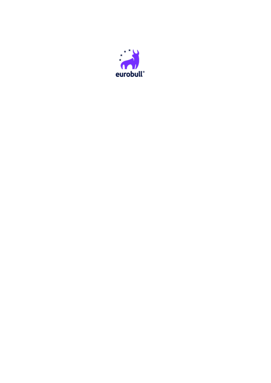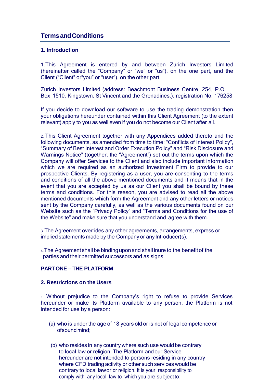# **TermsandConditions**

# **1. Introduction**

1.This Agreement is entered by and between Zurich Investors Limited (hereinafter called the "Company" or "we" or "us"), on the one part, and the Client ("Client" or"you" or "user"), on the other part.

Zurich Investors Limited (address: Beachmont Business Centre, 254, P.O. Box 1510. Kingstown. St Vincent and the Grenadines.), registration No. 176258

If you decide to download our software to use the trading demonstration then your obligations hereunder contained within this Client Agreement (to the extent relevant) apply to you as well even if you do not become our Client after all.

2. This Client Agreement together with any Appendices added thereto and the following documents, as amended from time to time: "Conflicts of Interest Policy", "Summary of Best Interest and Order Execution Policy" and "Risk Disclosure and Warnings Notice" (together, the "Agreement") set out the terms upon which the Company will offer Services to the Client and also include important information which we are required as an authorized Investment Firm to provide to our prospective Clients. By registering as a user, you are consenting to the terms and conditions of all the above mentioned documents and it means that in the event that you are accepted by us as our Client you shall be bound by these terms and conditions. For this reason, you are advised to read all the above mentioned documents which form the Agreement and any other letters or notices sent by the Company carefully, as well as the various documents found on our Website such as the "Privacy Policy" and "Terms and Conditions for the use of the Website" and make sure that you understand and agree with them.

3. The Agreement overrides any other agreements, arrangements, express or implied statements made by the Company or any Introducer(s).

4.The Agreement shall be bindinguponand shall inure to the benefit of the parties and their permitted successors and as signs.

# **PARTONE – THE PLATFORM**

#### **2. Restrictions on the Users**

1. Without prejudice to the Company's right to refuse to provide Services hereunder or make its Platform available to any person, the Platform is not intended for use by a person:

- (a) who is under the age of 18 years old or is not of legal competence or ofsound mind;
- (b) who resides in any country where such use would be contrary to local law or religion. The Platform andour Service hereunder are not intended to persons residing in any country where CFD trading activity or other such services would be contrary to local lawor or religion. It is your responsibility to comply with any local law to which you are subjectto;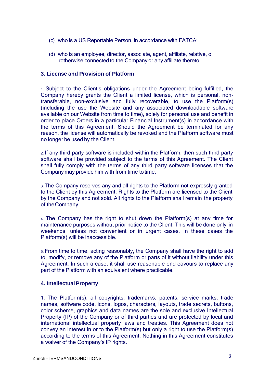- (c) who is a US Reportable Person, in accordance with FATCA;
- (d) who is an employee, director, associate, agent, affiliate, relative, o rotherwise connected to the Company or any affiliate thereto.

# **3. License and Provision of Platform**

1. Subject to the Client's obligations under the Agreement being fulfilled, the Company hereby grants the Client a limited license, which is personal, nontransferable, non-exclusive and fully recoverable, to use the Platform(s) (including the use the Website and any associated downloadable software available on our Website from time to time), solely for personal use and benefit in order to place Orders in a particular Financial Instrument(s) in accordance with the terms of this Agreement. Should the Agreement be terminated for any reason, the license will automatically be revoked and the Platform software must no longer be used by the Client.

2. If any third party software is included within the Platform, then such third party software shall be provided subject to the terms of this Agreement. The Client shall fully comply with the terms of any third party software licenses that the Company may provide him with from time totime.

3. The Company reserves any and all rights to the Platform not expressly granted to the Client by this Agreement. Rights to the Platform are licensed to the Client by the Company and not sold. All rights to the Platform shall remain the property of theCompany.

4. The Company has the right to shut down the Platform(s) at any time for maintenance purposes without prior notice to the Client. This will be done only in weekends, unless not convenient or in urgent cases. In these cases the Platform(s) will be inaccessible.

5. From time to time, acting reasonably, the Company shall have the right to add to, modify, or remove any of the Platform or parts of it without liability under this Agreement. In such a case, it shall use reasonable end eavours to replace any part of the Platform with an equivalent where practicable.

# **4. Intellectual Property**

1. The Platform(s), all copyrights, trademarks, patents, service marks, trade names, software code, icons, logos, characters, layouts, trade secrets, buttons, color scheme, graphics and data names are the sole and exclusive Intellectual Property (IP) of the Company or of third parties and are protected by local and international intellectual property laws and treaties. This Agreement does not convey an interest in or to the Platform(s) but only a right to use the Platform(s) according to the terms of this Agreement. Nothing in this Agreement constitutes a waiver of the Company's IP rights.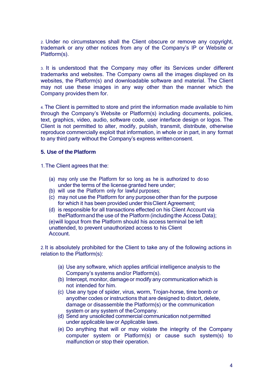2. Under no circumstances shall the Client obscure or remove any copyright, trademark or any other notices from any of the Company's IP or Website or Platform(s).

3. It is understood that the Company may offer its Services under different trademarks and websites. The Company owns all the images displayed on its websites, the Platform(s) and downloadable software and material. The Client may not use these images in any way other than the manner which the Company provides them for.

4. The Client is permitted to store and print the information made available to him through the Company's Website or Platform(s) including documents, policies, text, graphics, video, audio, software code, user interface design or logos. The Client is not permitted to alter, modify, publish, transmit, distribute, otherwise reproduce commercially exploit that information, in whole or in part, in any format to any third party without the Company's express writtenconsent.

## **5. Use of the Platform**

1.The Client agrees that the:

- (a) may only use the Platform for so long as he is authorized to do so under the terms of the license granted here under;
- (b) will use the Platform only for lawful purposes;
- (c) may not use the Platform for any purpose other than for the purpose for which it has been provided under this Client Agreement;
- (d) is responsible for all transactions effected on his Client Account via thePlatformand the use of the Platform (including the Access Data);

(e)will logout from the Platform should his access terminal be left unattended, to prevent unauthorized access to his Client Account.

2. It is absolutely prohibited for the Client to take any of the following actions in relation to the Platform(s):

- (a) Use any software, which applies artificial intelligence analysis to the Company's systems and/or Platform(s).
- (b) Intercept, monitor, damage or modify any communication which is not intended for him.
- (c) Use any type of spider, virus, worm, Trojan-horse, time bomb or anyother codes or instructions that are designed to distort, delete, damage or disassemble the Platform(s) or the communication system or any system of theCompany.
- (d) Send any unsolicited commercial communication not permitted under applicable law or Applicable laws.
- (e) Do anything that will or may violate the integrity of the Company computer system or Platform(s) or cause such system(s) to malfunction or stop their operation.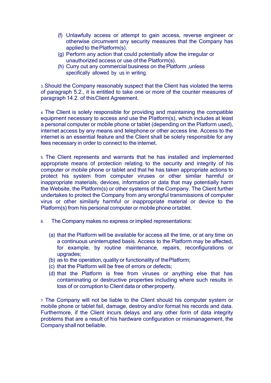- (f) Unlawfully access or attempt to gain access, reverse engineer or otherwise circumvent any security measures that the Company has applied to thePlatform(s).
- (g) Perform any action that could potentially allow the irregular or unauthorized access or use of the Platform(s).
- (h) Curry out any commercial business on the Platform , unless specifically allowed by us in writing.

3. Should the Company reasonably suspect that the Client has violated the terms of paragraph 5.2., it is entitled to take one or more of the counter measures of paragraph 14.2. of thisClient Agreement.

4. The Client is solely responsible for providing and maintaining the compatible equipment necessary to access and use the Platform(s), which includes at least a personal computer or mobile phone or tablet (depending on the Platform used), internet access by any means and telephone or other access line. Access to the internet is an essential feature and the Client shall be solely responsible for any fees necessary in order to connect to the internet.

5. The Client represents and warrants that he has installed and implemented appropriate means of protection relating to the security and integrity of his computer or mobile phone or tablet and that he has taken appropriate actions to protect his system from computer viruses or other similar harmful or inappropriate materials, devices, information or data that may potentially harm the Website, the Platform(s) or other systems of the Company. The Client further undertakes to protect the Company from any wrongful transmissions of computer virus or other similarly harmful or inappropriate material or device to the Platform(s) from his personal computer or mobile phone ortablet.

- 6. The Company makes no express or implied representations:
	- (a) that the Platform will be available for access all the time, or at any time on a continuous uninterrupted basis. Access to the Platform may be affected, for example, by routine maintenance, repairs, reconfigurations or upgrades;
	- (b) as to the operation, quality or functionality of thePlatform;
	- (c) that the Platform will be free of errors or defects;
	- (d) that the Platform is free from viruses or anything else that has contaminating or destructive properties including where such results in loss of or corruption to Client data or other property.

7. The Company will not be liable to the Client should his computer system or mobile phone or tablet fail, damage, destroy and/or format his records and data. Furthermore, if the Client incurs delays and any other form of data integrity problems that are a result of his hardware configuration or mismanagement, the Company shall not beliable.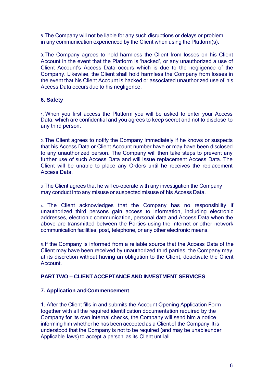8.The Company will not be liable for any such disruptions or delays or problem in any communication experienced by the Client when using the Platform(s).

9.The Company agrees to hold harmless the Client from losses on his Client Account in the event that the Platform is 'hacked', or any unauthorized a use of Client Account's Access Data occurs which is due to the negligence of the Company. Likewise, the Client shall hold harmless the Company from losses in the event that his Client Account is hacked or associated unauthorized use of his Access Data occurs due to his negligence.

# **6. Safety**

1. When you first access the Platform you will be asked to enter your Access Data, which are confidential and you agrees to keep secret and not to disclose to any third person.

2. The Client agrees to notify the Company immediately if he knows or suspects that his Access Data or Client Account number have or may have been disclosed to any unauthorized person. The Company will then take steps to prevent any further use of such Access Data and will issue replacement Access Data. The Client will be unable to place any Orders until he receives the replacement Access Data.

3. The Client agrees that he will co-operate with any investigation the Company may conduct into any misuse or suspected misuse of his Access Data.

4. The Client acknowledges that the Company has no responsibility if unauthorized third persons gain access to information, including electronic addresses, electronic communication, personal data and Access Data when the above are transmitted between the Parties using the internet or other network communication facilities, post, telephone, or any other electronic means.

5. If the Company is informed from a reliable source that the Access Data of the Client may have been received by unauthorized third parties, the Company may, at its discretion without having an obligation to the Client, deactivate the Client Account.

# **PARTTWO – CLIENT ACCEPTANCE AND INVESTMENT SERVICES**

#### **7. Application andCommencement**

1. After the Client fills in and submits the Account Opening Application Form together with all the required identification documentation required by the Company for its own internal checks, the Company will send him a notice informing him whether he has been accepted as a Client of the Company. It is understood that the Company is not to be required (and may be unableunder Applicable laws) to accept a person as its Client untilall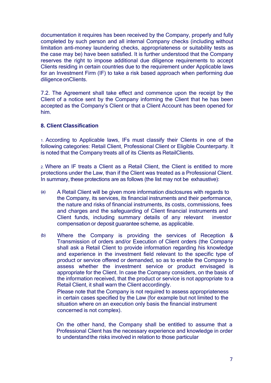documentation it requires has been received by the Company, properly and fully completed by such person and all internal Company checks (including without limitation anti-money laundering checks, appropriateness or suitability tests as the case may be) have been satisfied. It is further understood that the Company reserves the right to impose additional due diligence requirements to accept Clients residing in certain countries due to the requirement under Applicable laws for an Investment Firm (IF) to take a risk based approach when performing due diligence on Clients.

7.2. The Agreement shall take effect and commence upon the receipt by the Client of a notice sent by the Company informing the Client that he has been accepted as the Company's Client or that a Client Account has been opened for him.

# **8. Client Classification**

1. According to Applicable laws, IFs must classify their Clients in one of the following categories: Retail Client, Professional Client or Eligible Counterparty. It is noted that the Company treats all of its Clients as RetailClients.

2. Where an IF treats a Client as a Retail Client, the Client is entitled to more protections under the Law, than if the Client was treated as a Professional Client. In summary, these protections are as follows (the list may not be exhaustive):

- (a) A Retail Client will be given more information disclosures with regards to the Company, its services, its financial instruments and their performance, the nature and risks of financial instruments, its costs, commissions, fees and charges and the safeguarding of Client financial instruments and Client funds, including summary details of any relevant investor compensation or deposit guarantee scheme, as applicable.
- (b) Where the Company is providing the services of Reception & Transmission of orders and/or Execution of Client orders (the Company shall ask a Retail Client to provide information regarding his knowledge and experience in the investment field relevant to the specific type of product or service offered or demanded, so as to enable the Company to assess whether the investment service or product envisaged is appropriate for the Client. In case the Company considers, on the basis of the information received, that the product or service is not appropriate to a Retail Client, it shall warn the Client accordingly.

Please note that the Company is not required to assess appropriateness in certain cases specified by the Law (for example but not limited to the situation where on an execution only basis the financial instrument concerned is not complex).

On the other hand, the Company shall be entitled to assume that a Professional Client has the necessary experience and knowledge in order to understand the risks involved in relation to those particular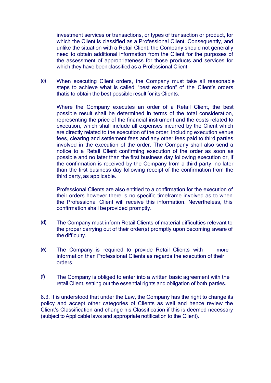investment services or transactions, or types of transaction or product, for which the Client is classified as a Professional Client. Consequently, and unlike the situation with a Retail Client, the Company should not generally need to obtain additional information from the Client for the purposes of the assessment of appropriateness for those products and services for which they have been classified as a Professional Client.

(c) When executing Client orders, the Company must take all reasonable steps to achieve what is called "best execution" of the Client's orders, thatis to obtain the best possibleresult for its Clients.

Where the Company executes an order of a Retail Client, the best possible result shall be determined in terms of the total consideration, representing the price of the financial instrument and the costs related to execution, which shall include all expenses incurred by the Client which are directly related to the execution of the order, including execution venue fees, clearing and settlement fees and any other fees paid to third parties involved in the execution of the order. The Company shall also send a notice to a Retail Client confirming execution of the order as soon as possible and no later than the first business day following execution or, if the confirmation is received by the Company from a third party, no later than the first business day following receipt of the confirmation from the third party, as applicable.

Professional Clients are also entitled to a confirmation for the execution of their orders however there is no specific timeframe involved as to when the Professional Client will receive this information. Nevertheless, this confirmation shall beprovided promptly.

- (d) The Company must inform Retail Clients of material difficulties relevant to the proper carrying out of their order(s) promptly upon becoming aware of the difficulty.
- (e) The Company is required to provide Retail Clients with more information than Professional Clients as regards the execution of their orders.
- (f) The Company is obliged to enter into a written basic agreement with the retail Client, setting out the essential rights and obligation of both parties.

8.3. It is understood that under the Law, the Company has the right to change its policy and accept other categories of Clients as well and hence review the Client's Classification and change his Classification if this is deemed necessary (subject to Applicable laws and appropriate notification to the Client).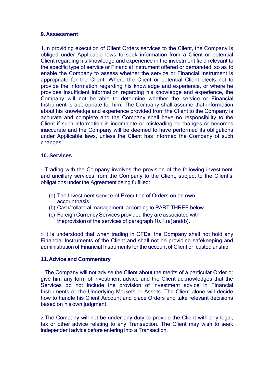## **9. Assessment**

1.In providing execution of Client Orders services to the Client, the Company is obliged under Applicable laws to seek information from a Client or potential Client regarding his knowledge and experience in the investment field relevant to the specific type of service or Financial Instrument offered or demanded, so as to enable the Company to assess whether the service or Financial Instrument is appropriate for the Client. Where the Client or potential Client elects not to provide the information regarding his knowledge and experience, or where he provides insufficient information regarding his knowledge and experience, the Company will not be able to determine whether the service or Financial Instrument is appropriate for him. The Company shall assume that information about his knowledge and experience provided from the Client to the Company is accurate and complete and the Company shall have no responsibility to the Client if such information is incomplete or misleading or changes or becomes inaccurate and the Company will be deemed to have performed its obligations under Applicable laws, unless the Client has informed the Company of such changes.

## **10. Services**

1. Trading with the Company involves the provision of the following investment and ancillary services from the Company to the Client, subject to the Client's obligations under the Agreement being fulfilled:

- (a) The Investment service of Execution of Orders on an own accountbasis.
- (b) Cash/collateral management, according to PART THREE below.
- (c) Foreign Currency Services provided they are associated with theprovision of the services of paragraph 10.1.(a)and(b).

2. It is understood that when trading in CFDs, the Company shall not hold any Financial Instruments of the Client and shall not be providing safekeeping and administration of Financial Instruments for the account of Client or custodianship.

#### **11. Advice and Commentary**

1. The Company will not advise the Client about the merits of a particular Order or give him any form of investment advice and the Client acknowledges that the Services do not include the provision of investment advice in Financial Instruments or the Underlying Markets or Assets. The Client alone will decide how to handle his Client Account and place Orders and take relevant decisions based on his own judgment.

2. The Company will not be under any duty to provide the Client with any legal, tax or other advice relating to any Transaction. The Client may wish to seek independent advice before entering into a Transaction.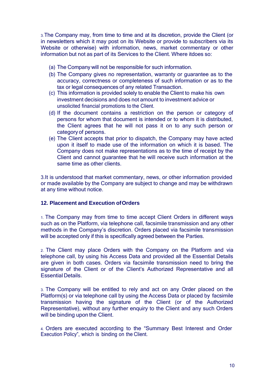3.The Company may, from time to time and at its discretion, provide the Client (or in newsletters which it may post on its Website or provide to subscribers via its Website or otherwise) with information, news, market commentary or other information but not as part of its Services to the Client. Where itdoes so:

- (a) The Company will not be responsible for such information.
- (b) The Company gives no representation, warranty or guarantee as to the accuracy, correctness or completeness of such information or as to the tax or legal consequences of any related Transaction.
- (c) This information is provided solely to enable the Client to make his own investment decisions and does not amount to investment advice or unsolicited financial promotions to the Client.
- (d) If the document contains a restriction on the person or category of persons for whom that document is intended or to whom it is distributed, the Client agrees that he will not pass it on to any such person or category of persons.
- (e) The Client accepts that prior to dispatch, the Company may have acted upon it itself to made use of the information on which it is based. The Company does not make representations as to the time of receipt by the Client and cannot guarantee that he will receive such information at the same time as other clients.

3.It is understood that market commentary, news, or other information provided or made available by the Company are subject to change and may be withdrawn at any time without notice.

# **12. Placement and Execution ofOrders**

1. The Company may from time to time accept Client Orders in different ways such as on the Platform, via telephone call, facsimile transmission and any other methods in the Company's discretion. Orders placed via facsimile transmission will be accepted only if this is specifically agreed between the Parties.

2. The Client may place Orders with the Company on the Platform and via telephone call, by using his Access Data and provided all the Essential Details are given in both cases. Orders via facsimile transmission need to bring the signature of the Client or of the Client's Authorized Representative and all Essential Details.

3. The Company will be entitled to rely and act on any Order placed on the Platform(s) or via telephone call by using the Access Data or placed by facsimile transmission having the signature of the Client (or of the Authorized Representative), without any further enquiry to the Client and any such Orders will be binding upon the Client.

4. Orders are executed according to the "Summary Best Interest and Order Execution Policy", which is binding on the Client.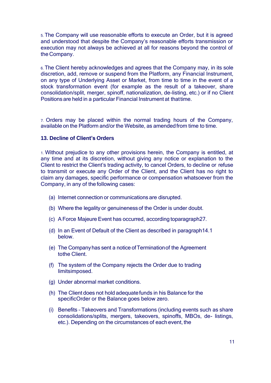5. The Company will use reasonable efforts to execute an Order, but it is agreed and understood that despite the Company's reasonable efforts transmission or execution may not always be achieved at all for reasons beyond the control of the Company.

6. The Client hereby acknowledges and agrees that the Company may, in its sole discretion, add, remove or suspend from the Platform, any Financial Instrument, on any type of Underlying Asset or Market, from time to time in the event of a stock transformation event (for example as the result of a takeover, share consolidation/split, merger, spinoff, nationalization, de-listing, etc.) or if no Client Positions are held in a particular Financial Instrument at thattime.

7. Orders may be placed within the normal trading hours of the Company, available on the Platform and/or the Website, as amended from time to time.

## **13. Decline of Client's Orders**

1. Without prejudice to any other provisions herein, the Company is entitled, at any time and at its discretion, without giving any notice or explanation to the Client to restrict the Client's trading activity, to cancel Orders, to decline or refuse to transmit or execute any Order of the Client, and the Client has no right to claim any damages, specific performance or compensation whatsoever from the Company, in any of the following cases:

- (a) Internet connection or communications are disrupted.
- (b) Where the legality or genuinenessof the Order is under doubt.
- (c) AForce Majeure Event has occurred, according toparagraph27.
- (d) In an Event of Default of the Client as described in paragraph14.1 below.
- (e) The Companyhas sent a notice ofTerminationof the Agreement tothe Client.
- (f) The system of the Company rejects the Order due to trading limitsimposed.
- (g) Under abnormal market conditions.
- (h) The Client does not hold adequatefunds in his Balance for the specificOrder or the Balance goes below zero.
- (i) Benefits Takeovers and Transformations (including events such as share consolidations/splits, mergers, takeovers, spinoffs, MBOs, de- listings, etc.). Depending on the circumstances of each event, the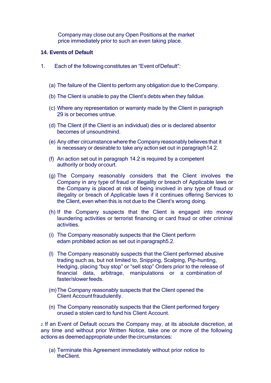Company may close out any Open Positions at the market price immediately prior to such an even taking place.

# **14. Events of Default**

- 1. Each of the following constitutes an "Event ofDefault":
	- (a) The failure of the Client to perform any obligation due to theCompany.
	- (b) The Client is unable to pay the Client's debts when they falldue.
	- (c) Where any representation or warranty made by the Client in paragraph 29 is or becomes untrue.
	- (d) The Client (if the Client is an individual) dies or is declared absentor becomes of unsoundmind.
	- (e) Any other circumstancewhere the Companyreasonably believes that it is necessary or desirable to take any action set out in paragraph14.2.
	- (f) An action set out in paragraph 14.2 is required by a competent authority or body orcourt.
	- (g) The Company reasonably considers that the Client involves the Company in any type of fraud or illegality or breach of Applicable laws or the Company is placed at risk of being involved in any type of fraud or illegality or breach of Applicable laws if it continues offering Services to the Client, even when this is not due to the Client's wrong doing.
	- (h) If the Company suspects that the Client is engaged into money laundering activities or terrorist financing or card fraud or other criminal activities.
	- (i) The Company reasonably suspects that the Client perform edam prohibited action as set out inparagraph5.2.
	- (l) The Company reasonably suspects that the Client performed abusive trading such as, but not limited to, Snipping, Scalping, Pip-hunting, Hedging, placing "buy stop" or "sell stop" Orders prior to the release of financial data, arbitrage, manipulations or a combination of faster/slower feeds.
	- (m)The Company reasonably suspects that the Client opened the Client Account fraudulently.
	- (n) The Company reasonably suspects that the Client performed forgery orused a stolen card to fund his Client Account.

2. If an Event of Default occurs the Company may, at its absolute discretion, at any time and without prior Written Notice, take one or more of the following actions as deemed appropriate under the circumstances:

(a) Terminate this Agreement immediately without prior notice to theClient.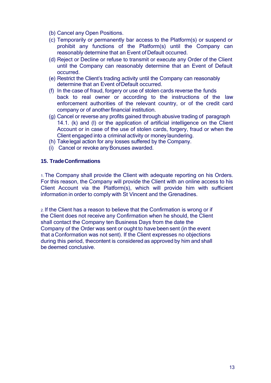- (b) Cancel any Open Positions.
- (c) Temporarily or permanently bar access to the Platform(s) or suspend or prohibit any functions of the Platform(s) until the Company can reasonably determine that an Event of Default occurred.
- (d) Reject or Decline or refuse to transmit or execute any Order of the Client until the Company can reasonably determine that an Event of Default occurred.
- (e) Restrict the Client's trading activity until the Company can reasonably determine that an Event ofDefault occurred.
- (f) In the case of fraud, forgery or use of stolen cards reverse the funds back to real owner or according to the instructions of the law enforcement authorities of the relevant country, or of the credit card company or of another financial institution.
- (g) Cancel or reverse any profits gained through abusive trading of paragraph 14.1. (k) and (l) or the application of artificial intelligence on the Client Account or in case of the use of stolen cards, forgery, fraud or when the Client engaged into a criminal activity or moneylaundering.
- (h) Takelegal action for any losses suffered by the Company.
- (i) Cancel or revoke any Bonuses awarded.

## **15. TradeConfirmations**

1. The Company shall provide the Client with adequate reporting on his Orders. For this reason, the Company will provide the Client with an online access to his Client Account via the Platform(s), which will provide him with sufficient information in order to comply with St Vincent and the Grenadines.

2. If the Client has a reason to believe that the Confirmation is wrong or if the Client does not receive any Confirmation when he should, the Client shall contact the Company ten Business Days from the date the Company of the Order was sent or ought to have been sent (in the event that aConformation was not sent). If the Client expresses no objections during this period, thecontent is considered as approved by him and shall be deemed conclusive.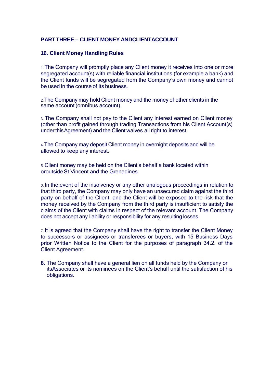# **PARTTHREE – CLIENT MONEY ANDCLIENTACCOUNT**

## **16. Client Money Handling Rules**

1. The Company will promptly place any Client money it receives into one or more segregated account(s) with reliable financial institutions (for example a bank) and the Client funds will be segregated from the Company's own money and cannot be used in the course of its business.

2.The Company may hold Client money and the money of other clients in the same account (omnibus account).

3. The Company shall not pay to the Client any interest earned on Client money (other than profit gained through trading Transactions from his Client Account(s) under thisAgreement) and the Client waives all right to interest.

4.The Company may deposit Client money in overnight deposits and will be allowed to keep any interest.

5. Client money may be held on the Client's behalf a bank located within oroutsideSt Vincent and the Grenadines.

6. In the event of the insolvency or any other analogous proceedings in relation to that third party, the Company may only have an unsecured claim against the third party on behalf of the Client, and the Client will be exposed to the risk that the money received by the Company from the third party is insufficient to satisfy the claims of the Client with claims in respect of the relevant account. The Company does not accept any liability or responsibility for any resulting losses.

7. It is agreed that the Company shall have the right to transfer the Client Money to successors or assignees or transferees or buyers, with 15 Business Days prior Written Notice to the Client for the purposes of paragraph 34.2. of the Client Agreement.

**8.** The Company shall have a general lien on all funds held by the Company or itsAssociates or its nominees on the Client's behalf until the satisfaction of his obligations.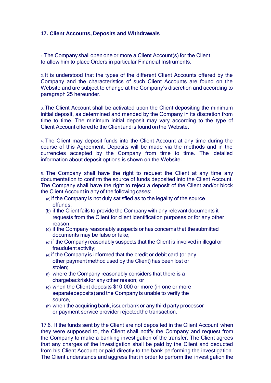# **17. Client Accounts, Deposits and Withdrawals**

1.The Company shall open one or more a Client Account(s) for the Client to allow him to place Orders in particular Financial Instruments.

2. It is understood that the types of the different Client Accounts offered by the Company and the characteristics of such Client Accounts are found on the Website and are subject to change at the Company's discretion and according to paragraph 25 hereunder.

3. The Client Account shall be activated upon the Client depositing the minimum initial deposit, as determined and mended by the Company in its discretion from time to time. The minimum initial deposit may vary according to the type of Client Account offered to the Clientand is found on the Website.

4. The Client may deposit funds into the Client Account at any time during the course of this Agreement. Deposits will be made via the methods and in the currencies accepted by the Company from time to time. The detailed information about deposit options is shown on the Website.

5. The Company shall have the right to request the Client at any time any documentation to confirm the source of funds deposited into the Client Account. The Company shall have the right to reject a deposit of the Client and/or block the Client Account in any of the followingcases:

- (a) if the Company is not duly satisfied as to the legality of the source offunds;
- (b) if the Client fails to provide the Company with any relevant documents it requests from the Client for client identification purposes or for any other reason;
- (c) if the Company reasonably suspects or has concerns that thesubmitted documents may be false or fake;
- (d) if the Company reasonably suspects that the Client is involved in illegal or fraudulentactivity;
- (e) if the Company is informed that the credit or debit card (or any other payment method used by the Client) has been lost or stolen;
- (f) where the Company reasonably considers that there is a chargebackriskfor any other reason; or
- (g) when the Client deposits \$10,000 or more (in one or more separatedeposits) and the Company is unable to verify the source,
- (h) when the acquiring bank, issuer bank or any third party processor or payment service provider rejectedthe transaction.

17.6. If the funds sent by the Client are not deposited in the Client Account when they were supposed to, the Client shall notify the Company and request from the Company to make a banking investigation of the transfer. The Client agrees that any charges of the investigation shall be paid by the Client and deducted from his Client Account or paid directly to the bank performing the investigation. The Client understands and aggress that in order to perform the investigation the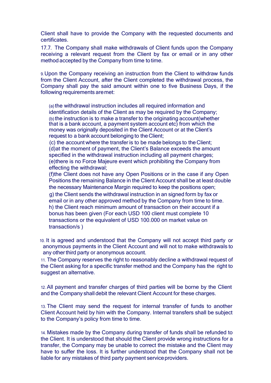Client shall have to provide the Company with the requested documents and certificates.

17.7. The Company shall make withdrawals of Client funds upon the Company receiving a relevant request from the Client by fax or email or in any other method accepted by the Company from time to time.

9.Upon the Company receiving an instruction from the Client to withdraw funds from the Client Account, after the Client completed the withdrawal process, the Company shall pay the said amount within one to five Business Days, if the following requirements aremet:

(a)the withdrawal instruction includes all required information and identification details of the Client as may be required by the Company; (b) the instruction is to make a transfer to the originating account (whether that is a bank account, a payment system account etc) from which the money was originally deposited in the Client Account or at the Client's request to a bank account belonging to theClient;

(c) the account where the transfer is to be made belongs to the Client; (d)at the moment of payment, the Client's Balance exceeds the amount specified in the withdrawal instruction including all payment charges; (e)there is no Force Majeure event which prohibiting the Company from effecting the withdrawal;

(f)the Client does not have any Open Positions or in the case if any Open Positions the remaining Balance in the Client Account shall be at least double the necessary Maintenance Margin required to keep the positions open; g) the Client sends the withdrawal instruction in an signed form by fax or email or in any other approved method by the Company from time to time. h) the Client reach minimum amount of transaction on their account if a bonus has been given (For each USD 100 client must complete 10 transactions or the equivalent of USD 100.000 on market value on transaction/s )

10. It is agreed and understood that the Company will not accept third party or anonymous payments in the Client Account and will not to make withdrawals to any other third party or anonymous account.

11. The Company reserves the right to reasonably decline a withdrawal request of the Client asking for a specific transfer method and the Company has the right to suggest an alternative.

12. All payment and transfer charges of third parties will be borne by the Client and the Company shall debit the relevant Client Account for these charges.

13. The Client may send the request for internal transfer of funds to another Client Account held by him with the Company. Internal transfers shall be subject to the Company's policy from time to time.

14. Mistakes made by the Company during transfer of funds shall be refunded to the Client. It is understood that should the Client provide wrong instructions for a transfer, the Company may be unable to correct the mistake and the Client may have to suffer the loss. It is further understood that the Company shall not be liable for any mistakes of third party payment service providers.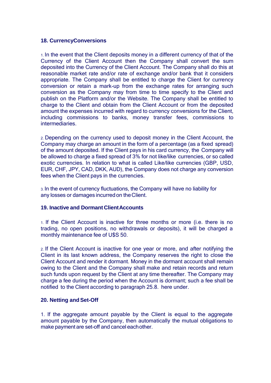## **18. CurrencyConversions**

1. In the event that the Client deposits money in a different currency of that of the Currency of the Client Account then the Company shall convert the sum deposited into the Currency of the Client Account. The Company shall do this at reasonable market rate and/or rate of exchange and/or bank that it considers appropriate. The Company shall be entitled to charge the Client for currency conversion or retain a mark-up from the exchange rates for arranging such conversion as the Company may from time to time specify to the Client and publish on the Platform and/or the Website. The Company shall be entitled to charge to the Client and obtain from the Client Account or from the deposited amount the expenses incurred with regard to currency conversions for the Client, including commissions to banks, money transfer fees, commissions to intermediaries.

2. Depending on the currency used to deposit money in the Client Account, the Company may charge an amount in the form of a percentage (as a fixed spread) of the amount deposited. If the Client pays in his card currency, the Company will be allowed to charge a fixed spread of 3% for not like/like currencies, or so called exotic currencies. In relation to what is called Like/like currencies (GBP, USD, EUR, CHF, JPY, CAD, DKK, AUD), the Company does not charge any conversion fees when the Client pays in the currencies.

3. In the event of currency fluctuations, the Company will have no liability for any losses or damages incurred on theClient.

#### **19. Inactive and Dormant ClientAccounts**

1. If the Client Account is inactive for three months or more (i.e. there is no trading, no open positions, no withdrawals or deposits), it will be charged a monthly maintenance fee of U\$S 50.

2. If the Client Account is inactive for one year or more, and after notifying the Client in its last known address, the Company reserves the right to close the Client Account and render it dormant. Money in the dormant account shall remain owing to the Client and the Company shall make and retain records and return such funds upon request by the Client at any time thereafter. The Company may charge a fee during the period when the Account is dormant; such a fee shall be notified to the Client according to paragraph 25.8. here under.

#### **20. Netting and Set-Off**

1. If the aggregate amount payable by the Client is equal to the aggregate amount payable by the Company, then automatically the mutual obligations to make payment are set-off and cancel eachother.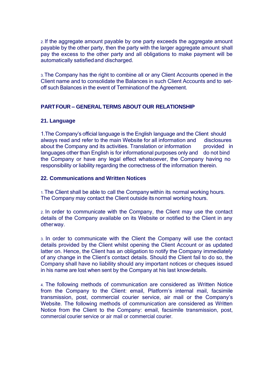2. If the aggregate amount payable by one party exceeds the aggregate amount payable by the other party, then the party with the larger aggregate amount shall pay the excess to the other party and all obligations to make payment will be automatically satisfiedand discharged.

3. The Company has the right to combine all or any Client Accounts opened in the Client name and to consolidate the Balances in such Client Accounts and to setoff such Balances in the event of Terminationof the Agreement.

# **PARTFOUR – GENERAL TERMS ABOUT OUR RELATIONSHIP**

# **21. Language**

1.The Company's official language is the English language and the Client should always read and refer to the main Website for all information and about the Company and its activities. Translation or information languages other than English is for informational purposes only and do not bind disclosures provided in the Company or have any legal effect whatsoever, the Company having no responsibility or liability regarding the correctness of the information therein.

## **22. Communications and Written Notices**

1.The Client shall be able to call the Company within its normal working hours. The Company may contact the Client outside itsnormal working hours.

2. In order to communicate with the Company, the Client may use the contact details of the Company available on its Website or notified to the Client in any otherway.

3. In order to communicate with the Client the Company will use the contact details provided by the Client whilst opening the Client Account or as updated latter on. Hence, the Client has an obligation to notify the Company immediately of any change in the Client's contact details. Should the Client fail to do so, the Company shall have no liability should any important notices or cheques issued in his name are lost when sent by the Company at his last knowdetails.

4. The following methods of communication are considered as Written Notice from the Company to the Client: email, Platform's internal mail, facsimile transmission, post, commercial courier service, air mail or the Company's Website. The following methods of communication are considered as Written Notice from the Client to the Company: email, facsimile transmission, post, commercial courier service or air mail or commercial courier.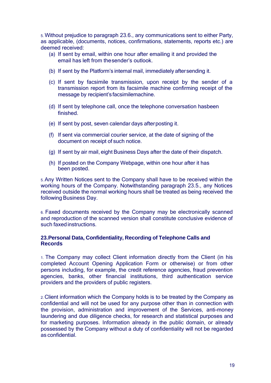5. Without prejudice to paragraph 23.6., any communications sent to either Party, as applicable, (documents, notices, confirmations, statements, reports etc.) are deemed received:

- (a) If sent by email, within one hour after emailing it and provided the email has left from thesender's outlook.
- (b) If sent by the Platform's internal mail, immediately aftersending it.
- (c) If sent by facsimile transmission, upon receipt by the sender of a transmission report from its facsimile machine confirming receipt of the message by recipient's facsimilemachine.
- (d) If sent by telephone call, once the telephone conversation hasbeen finished.
- (e) If sent by post, seven calendar days afterposting it.
- (f) If sent via commercial courier service, at the date of signing of the document on receipt of such notice.
- (g) If sent by air mail, eight Business Days after the date of their dispatch.
- (h) If posted on the Company Webpage, within one hour after it has been posted.

5. Any Written Notices sent to the Company shall have to be received within the working hours of the Company. Notwithstanding paragraph 23.5., any Notices received outside the normal working hours shall be treated as being received the following Business Day.

6. Faxed documents received by the Company may be electronically scanned and reproduction of the scanned version shall constitute conclusive evidence of such faxed instructions.

# **23.Personal Data, Confidentiality, Recording of Telephone Calls and Records**

1. The Company may collect Client information directly from the Client (in his completed Account Opening Application Form or otherwise) or from other persons including, for example, the credit reference agencies, fraud prevention agencies, banks, other financial institutions, third authentication service providers and the providers of public registers.

2. Client information which the Company holds is to be treated by the Company as confidential and will not be used for any purpose other than in connection with the provision, administration and improvement of the Services, anti-money laundering and due diligence checks, for research and statistical purposes and for marketing purposes. Information already in the public domain, or already possessed by the Company without a duty of confidentiality will not be regarded as confidential.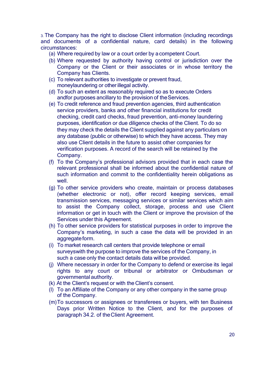3. The Company has the right to disclose Client information (including recordings and documents of a confidential nature, card details) in the following circumstances:

- (a) Where required by law or a court order by acompetent Court.
- (b) Where requested by authority having control or jurisdiction over the Company or the Client or their associates or in whose territory the Company has Clients.
- (c) To relevant authorities to investigate or prevent fraud, moneylaundering or other illegal activity.
- (d) To such an extent as reasonably required so as to execute Orders andfor purposes ancillary to the provision of the Services.
- (e) To credit reference and fraud prevention agencies, third authentication service providers, banks and other financial institutions for credit checking, credit card checks, fraud prevention, anti-money laundering purposes, identification or due diligence checks of the Client. To do so they may check the details the Client supplied against any particulars on any database (public or otherwise) to which they have access. They may also use Client details in the future to assist other companies for verification purposes. A record of the search will be retained by the Company.
- (f) To the Company's professional advisors provided that in each case the relevant professional shall be informed about the confidential nature of such information and commit to the confidentiality herein obligations as well.
- (g) To other service providers who create, maintain or process databases (whether electronic or not), offer record keeping services, email transmission services, messaging services or similar services which aim to assist the Company collect, storage, process and use Client information or get in touch with the Client or improve the provision of the Services under this Agreement.
- (h) To other service providers for statistical purposes in order to improve the Company's marketing, in such a case the data will be provided in an aggregate form.
- (i) To market research call centers that provide telephone or email surveyswith the purpose to improve the services of the Company, in such a case only the contact details data will be provided.
- (j) Where necessary in order for the Company to defend or exercise its legal rights to any court or tribunal or arbitrator or Ombudsman or governmental authority.
- (k) At the Client's request or with the Client's consent.
- (l) To an Affiliate of the Company or any other company in the same group of the Company.
- (m)To successors or assignees or transferees or buyers, with ten Business Days prior Written Notice to the Client, and for the purposes of paragraph 34.2. of theClient Agreement.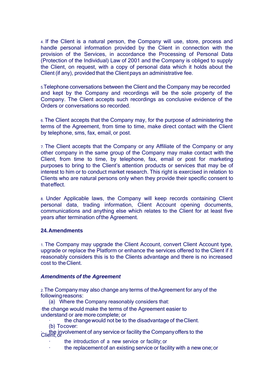4. If the Client is a natural person, the Company will use, store, process and handle personal information provided by the Client in connection with the provision of the Services, in accordance the Processing of Personal Data (Protection of the Individual) Law of 2001 and the Company is obliged to supply the Client, on request, with a copy of personal data which it holds about the Client (if any), provided that the Client pays an administrative fee.

5.Telephone conversations between the Client and the Company may be recorded and kept by the Company and recordings will be the sole property of the Company. The Client accepts such recordings as conclusive evidence of the Orders or conversations so recorded.

6. The Client accepts that the Company may, for the purpose of administering the terms of the Agreement, from time to time, make direct contact with the Client by telephone, sms, fax, email, or post.

7. The Client accepts that the Company or any Affiliate of the Company or any other company in the same group of the Company may make contact with the Client, from time to time, by telephone, fax, email or post for marketing purposes to bring to the Client's attention products or services that may be of interest to him or to conduct market research. This right is exercised in relation to Clients who are natural persons only when they provide their specific consent to thateffect.

8. Under Applicable laws, the Company will keep records containing Client personal data, trading information, Client Account opening documents, communications and anything else which relates to the Client for at least five years after termination ofthe Agreement.

#### **24.Amendments**

1. The Company may upgrade the Client Account, convert Client Account type, upgrade or replace the Platform or enhance the services offered to the Client if it reasonably considers this is to the Clients advantage and there is no increased cost to theClient.

#### *Amendments of the Agreement*

2.The Company may also change any terms of theAgreement for any of the followingreasons:

(a) Where the Company reasonably considers that:

·the change would make the terms of the Agreement easier to understand or are more complete; or

- the change would not be to the disadvantage of the Client.
- (b) Tocover:

: the involvement of any service or facility the Company offers to the<br>Client: or

- the introduction of a new service or facility; or
- the replacement of an existing service or facility with a new one; or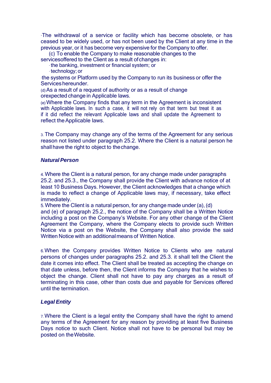·The withdrawal of a service or facility which has become obsolete, or has ceased to be widely used, or has not been used by the Client at any time in the previous year, or it has become very expensive for the Company to offer.

(c) To enable the Company to make reasonable changes to the

services offered to the Client as a result of changes in:

- · the banking, investment or financial system; or
- · technology; or

·the systems or Platform used by the Company to run its business or offer the Serviceshereunder.

(d)As a result of a request of authority or as a result of change orexpected change in Applicable laws.

(e)Where the Company finds that any term in the Agreement is inconsistent with Applicable laws. In such a case, it will not rely on that term but treat it as if it did reflect the relevant Applicable laws and shall update the Agreement to reflect the Applicable laws.

3. The Company may change any of the terms of the Agreement for any serious reason not listed under paragraph 25.2. Where the Client is a natural person he shall have the right to object to the change.

# *NaturalPerson*

4.Where the Client is a natural person, for any change made under paragraphs 25.2. and 25.3., the Company shall provide the Client with advance notice of at least 10 Business Days. However, the Client acknowledges that a change which is made to reflect a change of Applicable laws may, if necessary, take effect immediately.

5.Where the Client is a natural person, for any change made under (a),(d) and (e) of paragraph 25.2., the notice of the Company shall be a Written Notice including a post on the Company's Website. For any other change of the Client Agreement the Company, where the Company elects to provide such Written Notice via a post on the Website, the Company shall also provide the said Written Notice with an additionalmeans of Written Notice.

6.When the Company provides Written Notice to Clients who are natural persons of changes under paragraphs 25.2. and 25.3. it shall tell the Client the date it comes into effect. The Client shall be treated as accepting the change on that date unless, before then, the Client informs the Company that he wishes to object the change. Client shall not have to pay any charges as a result of terminating in this case, other than costs due and payable for Services offered until the termination.

# *Legal Entity*

7.Where the Client is a legal entity the Company shall have the right to amend any terms of the Agreement for any reason by providing at least five Business Days notice to such Client. Notice shall not have to be personal but may be posted on theWebsite.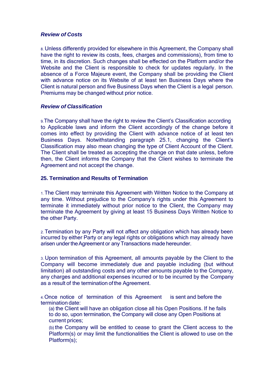#### *Review of Costs*

8. Unless differently provided for elsewhere in this Agreement, the Company shall have the right to review its costs, fees, charges and commissions), from time to time, in its discretion. Such changes shall be effected on the Platform and/or the Website and the Client is responsible to check for updates regularly. In the absence of a Force Majeure event, the Company shall be providing the Client with advance notice on its Website of at least ten Business Days where the Client is natural person and five Business Days when the Client is a legal person. Premiums may be changed without prior notice.

## *Review of Classification*

9.The Company shall have the right to review the Client's Classification according to Applicable laws and inform the Client accordingly of the change before it comes into effect by providing the Client with advance notice of at least ten Business Days. Notwithstanding paragraph 25.1, changing the Client's Classification may also mean changing the type of Client Account of the Client. The Client shall be treated as accepting the change on that date unless, before then, the Client informs the Company that the Client wishes to terminate the Agreement and not accept the change.

## **25. Termination and Results of Termination**

1. The Client may terminate this Agreement with Written Notice to the Company at any time. Without prejudice to the Company's rights under this Agreement to terminate it immediately without prior notice to the Client, the Company may terminate the Agreement by giving at least 15 Business Days Written Notice to the other Party.

2. Termination by any Party will not affect any obligation which has already been incurred by either Party or any legal rights or obligations which may already have arisen under the Agreement or any Transactions made hereunder.

3. Upon termination of this Agreement, all amounts payable by the Client to the Company will become immediately due and payable including (but without limitation) all outstanding costs and any other amounts payable to the Company, any charges and additional expenses incurred or to be incurred by the Company as a result of the termination ofthe Agreement.

4.Once notice of termination of this Agreement is sent and before the termination date:

(a) the Client will have an obligation close all his Open Positions. If he fails to do so, upon termination, the Company will close any Open Positions at current prices;

(b) the Company will be entitled to cease to grant the Client access to the Platform(s) or may limit the functionalities the Client is allowed to use on the Platform(s);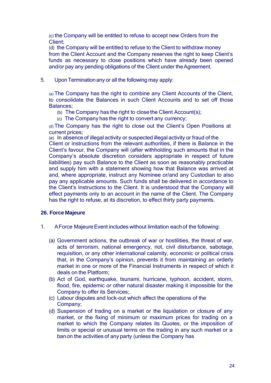(c) the Company will be entitled to refuse to accept new Orders from the Client;

(d) the Company will be entitled to refuse to the Client to withdraw money from the Client Account and the Company reserves the right to keep Client's funds as necessary to close positions which have already been opened and/or pay any pending obligations of the Client under the Agreement.

5. Upon Terminationany or all the following may apply:

(a) The Company has the right to combine any Client Accounts of the Client, to consolidate the Balances in such Client Accounts and to set off those Balances;

- (b) The Company has the right to close the Client Account(s);
- (c) The Company has the right to convert any currency;

(d) The Company has the right to close out the Client's Open Positions at current prices;

(e) In absence of illegal activity or suspected illegal activity or fraud of the Client or instructions from the relevant authorities, if there is Balance in the Client's favour, the Company will (after withholding such amounts that in the Company's absolute discretion considers appropriate in respect of future liabilities) pay such Balance to the Client as soon as reasonably practicable and supply him with a statement showing how that Balance was arrived at and, where appropriate, instruct any Nominee or/and any Custodian to also pay any applicable amounts. Such funds shall be delivered in accordance to the Client's Instructions to the Client. It is understood that the Company will effect payments only to an account in the name of the Client. The Company has the right to refuse, at its discretion, to effect thirty party payments.

# **26. Force Majeure**

- 1. A Force Majeure Event includes without limitation each of the following:
	- (a) Government actions, the outbreak of war or hostilities, the threat of war, acts of terrorism, national emergency, riot, civil disturbance, sabotage, requisition, or any other international calamity, economic or political crisis that, in the Company's opinion, prevents it from maintaining an orderly market in one or more of the Financial Instruments in respect of which it deals on the Platform;
	- (b) Act of God, earthquake, tsunami, hurricane, typhoon, accident, storm, flood, fire, epidemic or other natural disaster making it impossible for the Company to offer its Services;.
	- (c) Labour disputes and lock-out which affect the operations of the Company;
	- (d) Suspension of trading on a market or the liquidation or closure of any market, or the fixing of minimum or maximum prices for trading on a market to which the Company relates its Quotes, or the imposition of limits or special or unusual terms on the trading in any such market or a banon the activities of any party (unless the Company has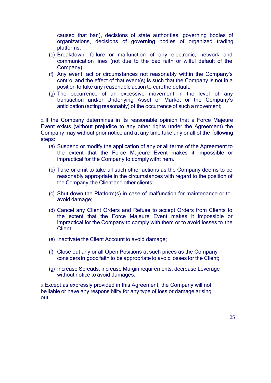caused that ban), decisions of state authorities, governing bodies of organizations, decisions of governing bodies of organized trading platforms;

- (e) Breakdown, failure or malfunction of any electronic, network and communication lines (not due to the bad faith or wilful default of the Company);
- (f) Any event, act or circumstances not reasonably within the Company's control and the effect of that event(s) is such that the Company is not in a position to take any reasonable action to curethe default;
- (g) The occurrence of an excessive movement in the level of any transaction and/or Underlying Asset or Market or the Company's anticipation (acting reasonably) of the occurrence of such a movement;

2. If the Company determines in its reasonable opinion that a Force Majeure Event exists (without prejudice to any other rights under the Agreement) the Company may without prior notice and at any time take any or all of the following steps:

- (a) Suspend or modify the application of any or all terms of the Agreement to the extent that the Force Majeure Event makes it impossible or impractical for the Company to complywitht hem.
- (b) Take or omit to take all such other actions as the Company deems to be reasonably appropriate in the circumstances with regard to the position of the Company, the Client and other clients;
- (c) Shut down the Platform(s) in case of malfunction for maintenance or to avoid damage;
- (d) Cancel any Client Orders and Refuse to accept Orders from Clients to the extent that the Force Majeure Event makes it impossible or impractical for the Company to comply with them or to avoid losses to the Client;
- (e) Inactivate the Client Account to avoid damage;
- (f) Close out any or all Open Positions at such prices as the Company considers in goodfaith to be appropriate to avoid losses for the Client;
- (g) Increase Spreads, increase Margin requirements, decrease Leverage without notice to avoid damages.

3. Except as expressly provided in this Agreement, the Company will not be liable or have any responsibility for any type of loss or damage arising out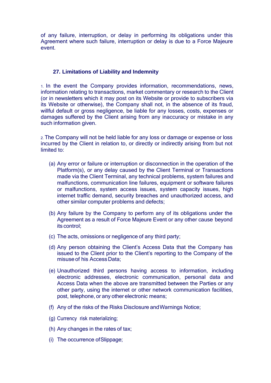of any failure, interruption, or delay in performing its obligations under this Agreement where such failure, interruption or delay is due to a Force Majeure event.

# **27. Limitations of Liability and Indemnity**

1. In the event the Company provides information, recommendations, news, information relating to transactions, market commentary or research to the Client (or in newsletters which it may post on its Website or provide to subscribers via its Website or otherwise), the Company shall not, in the absence of its fraud, willful default or gross negligence, be liable for any losses, costs, expenses or damages suffered by the Client arising from any inaccuracy or mistake in any such information given.

2. The Company will not be held liable for any loss or damage or expense or loss incurred by the Client in relation to, or directly or indirectly arising from but not limited to:

- (a) Any error or failure or interruption or disconnection in the operation of the Platform(s), or any delay caused by the Client Terminal or Transactions made via the Client Terminal, any technical problems, system failures and malfunctions, communication line failures, equipment or software failures or malfunctions, system access issues, system capacity issues, high internet traffic demand, security breaches and unauthorized access, and other similar computer problems and defects;
- (b) Any failure by the Company to perform any of its obligations under the Agreement as a result of Force Majeure Event or any other cause beyond its control;
- (c) The acts, omissions or negligence of any third party;
- (d) Any person obtaining the Client's Access Data that the Company has issued to the Client prior to the Client's reporting to the Company of the misuse of his AccessData;
- (e) Unauthorized third persons having access to information, including electronic addresses, electronic communication, personal data and Access Data when the above are transmitted between the Parties or any other party, using the internet or other network communication facilities, post, telephone, or any other electronic means;
- (f) Any of the risks of the Risks Disclosure andWarnings Notice;
- (g) Currency risk materializing;
- (h) Any changes in the rates of tax;
- (i) The occurrence ofSlippage;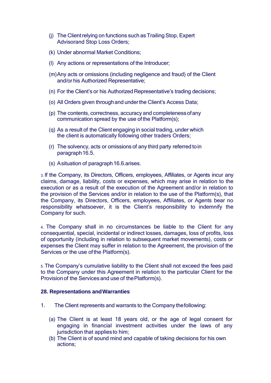- (i) The Client relying on functions such as Trailing Stop, Expert Advisorand Stop Loss Orders;
- (k) Under abnormal Market Conditions;
- (l) Any actions or representations of the Introducer;
- (m)Any acts or omissions (including negligence and fraud) of the Client and/or his Authorized Representative;
- (n) For the Client's or his Authorized Representative's trading decisions;
- (o) All Orders given throughand underthe Client's Access Data;
- (p) The contents, correctness, accuracy and completenessofany communication spread by the use of the Platform(s);
- (q) As a result of the Client engaging in social trading, under which the client is automatically following other traders Orders;
- (r) The solvency, acts or omissions of any third party referred toin paragraph16.5.
- (s) Asituation of paragraph16.6.arises.

3. If the Company, its Directors, Officers, employees, Affiliates, or Agents incur any claims, damage, liability, costs or expenses, which may arise in relation to the execution or as a result of the execution of the Agreement and/or in relation to the provision of the Services and/or in relation to the use of the Platform(s), that the Company, its Directors, Officers, employees, Affiliates, or Agents bear no responsibility whatsoever, it is the Client's responsibility to indemnify the Company for such.

4. The Company shall in no circumstances be liable to the Client for any consequential, special, incidental or indirect losses, damages, loss of profits, loss of opportunity (including in relation to subsequent market movements), costs or expenses the Client may suffer in relation to the Agreement, the provision of the Services or the use ofthe Platform(s).

5. The Company's cumulative liability to the Client shall not exceed the fees paid to the Company under this Agreement in relation to the particular Client for the Provision of the Services and use of thePlatform(s).

# **28. Representations andWarranties**

- 1. The Client represents and warrants to the Company thefollowing:
	- (a) The Client is at least 18 years old, or the age of legal consent for engaging in financial investment activities under the laws of any jurisdiction that applies to him;
	- (b) The Client is of sound mind and capable of taking decisions for his own actions;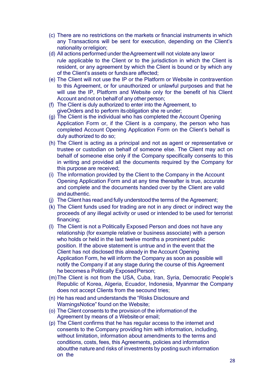- (c) There are no restrictions on the markets or financial instruments in which any Transactions will be sent for execution, depending on the Client's nationality orreligion;
- (d) All actions performed under theAgreement will not violate any lawor rule applicable to the Client or to the jurisdiction in which the Client is resident, or any agreement by which the Client is bound or by which any of the Client's assets or fundsare affected;
- (e) The Client will not use the IP or the Platform or Website in contravention to this Agreement, or for unauthorized or unlawful purposes and that he will use the IP, Platform and Website only for the benefit of his Client Account and not on behalf of any other person;
- (f) The Client is duly authorized to enter into the Agreement, to giveOrders and to perform itsobligation she re under;
- (g) The Client is the individual who has completed the Account Opening Application Form or, if the Client is a company, the person who has completed Account Opening Application Form on the Client's behalf is duly authorized to do so;
- (h) The Client is acting as a principal and not as agent or representative or trustee or custodian on behalf of someone else. The Client may act on behalf of someone else only if the Company specifically consents to this in writing and provided all the documents required by the Company for this purpose are received;
- (i) The information provided by the Client to the Company in the Account Opening Application Form and at any time thereafter is true, accurate and complete and the documents handed over by the Client are valid andauthentic.
- (j) The Client has read and fully understoodthe terms of the Agreement;
- (k) The Client funds used for trading are not in any direct or indirect way the proceeds of any illegal activity or used or intended to be used for terrorist financing;
- (l) The Client is not a Politically Exposed Person and does not have any relationship (for example relative or business associate) with a person who holds or held in the last twelve months a prominent public position. If the above statement is untrue and in the event that the Client has not disclosed this already in the Account Opening Application Form, he will inform the Company as soon as possible will notify the Company if at any stage during the course of this Agreement he becomes a Politically Exposed Person;
- (m)The Client is not from the USA, Cuba, Iran, Syria, Democratic People's Republic of Korea, Algeria, Ecuador, Indonesia, Myanmar the Company does not accept Clients from the secound tries;
- (n) He has read and understands the "Risks Disclosure and WarningsNotice" found on the Website;
- (o) The Client consents to the provision of the informationof the Agreement by means of a Websiteor email;
- (p) The Client confirms that he has regular access to the internet and consents to the Company providing him with information, including, without limitation, information about amendments to the terms and conditions, costs, fees, this Agreements, policies and information aboutthe nature and risks of investments by posting such information on the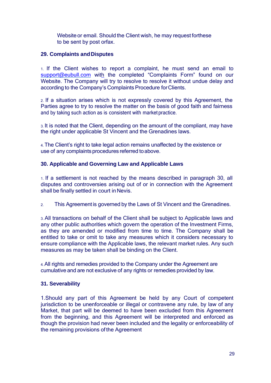Website or email. Should the Client wish, he may request forthese to be sent by post orfax.

# **29. Complaints andDisputes**

1. If the Client wishes to report a complaint, he must send an email to [support@eubull.com](mailto:support@eubull.com) with the completed "Complaints Form" found on our Website. The Company will try to resolve to resolve it without undue delay and according to the Company's Complaints Procedure forClients.

2. If a situation arises which is not expressly covered by this Agreement, the Parties agree to try to resolve the matter on the basis of good faith and fairness and by taking such action as is consistent with market practice.

3. It is noted that the Client, depending on the amount of the compliant, may have the right under applicable St Vincent and the Grenadines laws.

4. The Client's right to take legal action remains unaffected by the existence or use of any complaints procedures referred to above.

# **30. Applicable and Governing Law and Applicable Laws**

1. If a settlement is not reached by the means described in paragraph 30, all disputes and controversies arising out of or in connection with the Agreement shall be finally settled in court in Nevis.

2. This Agreement is governed by the Laws of St Vincent and the Grenadines.

3. All transactions on behalf of the Client shall be subject to Applicable laws and any other public authorities which govern the operation of the Investment Firms, as they are amended or modified from time to time. The Company shall be entitled to take or omit to take any measures which it considers necessary to ensure compliance with the Applicable laws, the relevant market rules. Any such measures as may be taken shall be binding on the Client.

4. All rights and remedies provided to the Company under the Agreement are cumulative and are not exclusive of any rights or remedies provided by law.

# **31. Severability**

1.Should any part of this Agreement be held by any Court of competent jurisdiction to be unenforceable or illegal or contravene any rule, by law of any Market, that part will be deemed to have been excluded from this Agreement from the beginning, and this Agreement will be interpreted and enforced as though the provision had never been included and the legality or enforceability of the remaining provisions of the Agreement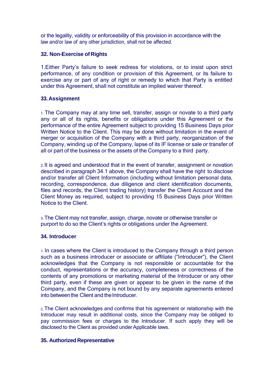or the legality, validity or enforceability of this provision in accordance with the law and/or law of any other jurisdiction, shall not be affected.

## **32. Non-Exercise of Rights**

1.Either Party's failure to seek redress for violations, or to insist upon strict performance, of any condition or provision of this Agreement, or its failure to exercise any or part of any of right or remedy to which that Party is entitled under this Agreement, shall not constitute an implied waiver thereof.

## **33.Assignment**

1. The Company may at any time sell, transfer, assign or novate to a third party any or all of its rights, benefits or obligations under this Agreement or the performance of the entire Agreement subject to providing 15 Business Days prior Written Notice to the Client. This may be done without limitation in the event of merger or acquisition of the Company with a third party, reorganization of the Company, winding up of the Company, lapse of its IF license or sale or transfer of all or part of the business or the assets of the Company to a third party.

2. It is agreed and understood that in the event of transfer, assignment or novation described in paragraph 34.1 above, the Company shall have the right to disclose and/or transfer all Client Information (including without limitation personal data, recording, correspondence, due diligence and client identification documents, files and records, the Client trading history) transfer the Client Account and the Client Money as required, subject to providing 15 Business Days prior Written Notice to the Client.

3. The Client may not transfer, assign, charge, novate or otherwise transfer or purport to do so the Client's rights or obligations under the Agreement.

#### **34. Introducer**

1. In cases where the Client is introduced to the Company through a third person such as a business introducer or associate or affiliate ("Introducer"), the Client acknowledges that the Company is not responsible or accountable for the conduct, representations or the accuracy, completeness or correctness of the contents of any promotions or marketing material of the Introducer or any other third party, even if these are given or appear to be given in the name of the Company, and the Company is not bound by any separate agreements entered into between the Client and the Introducer.

2. The Client acknowledges and confirms that his agreement or relationship with the Introducer may result in additional costs, since the Company may be obliged to pay commission fees or charges to the Introducer. If such apply they will be disclosed to the Client as provided under Applicable laws.

#### **35. Authorized Representative**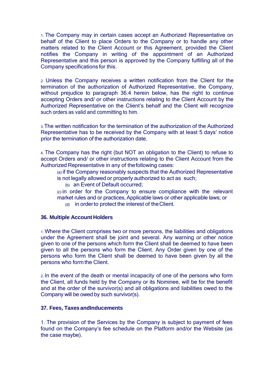1. The Company may in certain cases accept an Authorized Representative on behalf of the Client to place Orders to the Company or to handle any other matters related to the Client Account or this Agreement, provided the Client notifies the Company in writing of the appointment of an Authorized Representative and this person is approved by the Company fulfilling all of the Company specifications for this.

2. Unless the Company receives a written notification from the Client for the termination of the authorization of Authorized Representative, the Company, without prejudice to paragraph 36.4 herein below, has the right to continue accepting Orders and/ or other instructions relating to the Client Account by the Authorized Representative on the Client's behalf and the Client will recognize such orders as valid and committing to him.

3.The written notification for the termination of the authorization of the Authorized Representative has to be received by the Company with at least 5 days' notice prior the termination of the authorization date.

4. The Company has the right (but NOT an obligation to the Client) to refuse to accept Orders and/ or other instructions relating to the Client Account from the Authorized Representative in any of thefollowing cases:

- (a) if the Company reasonably suspects that the Authorized Representative is not legally allowed or properly authorized to act as such;
	- (b) an Event of Default occurred;

(c) in order for the Company to ensure compliance with the relevant market rules and or practices, Applicable laws or other applicable laws; or

(d) in orderto protect the interest of theClient.

#### **36. Multiple Account Holders**

1. Where the Client comprises two or more persons, the liabilities and obligations under the Agreement shall be joint and several. Any warning or other notice given to one of the persons which form the Client shall be deemed to have been given to all the persons who form the Client. Any Order given by one of the persons who form the Client shall be deemed to have been given by all the persons who form the Client.

2. In the event of the death or mental incapacity of one of the persons who form the Client, all funds held by the Company or its Nominee, will be for the benefit and at the order of the survivor(s) and all obligations and liabilities owed to the Company will be owed by such survivor(s).

#### **37. Fees, Taxes andInducements**

1. The provision of the Services by the Company is subject to payment of fees found on the Company's fee schedule on the Platform and/or the Website (as the case maybe).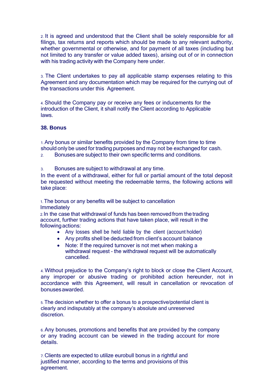2. It is agreed and understood that the Client shall be solely responsible for all filings, tax returns and reports which should be made to any relevant authority, whether governmental or otherwise, and for payment of all taxes (including but not limited to any transfer or value added taxes), arising out of or in connection with his trading activity with the Company here under.

3. The Client undertakes to pay all applicable stamp expenses relating to this Agreement and any documentation which may be required for the currying out of the transactions under this Agreement.

4. Should the Company pay or receive any fees or inducements for the introduction of the Client, it shall notify the Client according to Applicable laws.

#### **38. Bonus**

1. Any bonus or similar benefits provided by the Company from time to time should only be used for trading purposes and may not be exchanged for cash.

2. Bonuses are subject to their own specific terms and conditions.

3. Bonuses are subject to withdrawal at any time.

In the event of a withdrawal, either for full or partial amount of the total deposit be requested without meeting the redeemable terms, the following actions will take place:

1. The bonus or any benefits will be subject to cancellation **Immediately** 

2. In the case that withdrawal of funds has been removed from the trading account, further trading actions that have taken place, will result in the followingactions:

- Any losses shell be held liable by the client (account holder)
- Any profits shell be deducted from client's account balance
- Note: If the required turnover is not met when making a withdrawal request – the withdrawal request will be automatically cancelled.

4. Without prejudice to the Company's right to block or close the Client Account, any improper or abusive trading or prohibited action hereunder, not in accordance with this Agreement, will result in cancellation or revocation of bonusesawarded.

5. The decision whether to offer a bonus to a prospective/potential client is clearly and indisputably at the company's absolute and unreserved discretion.

6. Any bonuses, promotions and benefits that are provided by the company or any trading account can be viewed in the trading account for more details.

7. Clients are expected to utilize eurobull bonus in a rightful and justified manner, according to the terms and provisions of this agreement.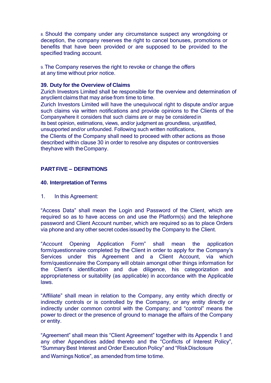8. Should the company under any circumstance suspect any wrongdoing or deception, the company reserves the right to cancel bonuses, promotions or benefits that have been provided or are supposed to be provided to the specified trading account.

9. The Company reserves the right to revoke or change the offers at any time without prior notice.

#### **39. Duty for the Overview of Claims**

Zurich Investors Limited shall be responsible for the overview and determination of anyclient claims that may arise from time to time.

Zurich Investors Limited will have the unequivocal right to dispute and/or argue such claims via written notifications and provide opinions to the Clients of the Companywhere it considers that such claims are or may be considered in its best opinion, estimations, views, and/or judgment as groundless, unjustified, unsupported and/or unfounded. Following such written notifications,

the Clients of the Company shall need to proceed with other actions as those described within clause 30 in order to resolve any disputes or controversies theyhave with theCompany.

## **PARTFIVE – DEFINITIONS**

#### **40. Interpretation ofTerms**

1. In this Agreement:

"Access Data" shall mean the Login and Password of the Client, which are required so as to have access on and use the Platform(s) and the telephone password and Client Account number, which are required so as to place Orders via phone and any other secret codes issued by the Company to the Client.

"Account Opening Application Form" shall mean the application form/questionnaire completed by the Client in order to apply for the Company's Services under this Agreement and a Client Account, via which form/questionnaire the Company will obtain amongst other things information for the Client's identification and due diligence, his categorization and appropriateness or suitability (as applicable) in accordance with the Applicable laws.

"Affiliate" shall mean in relation to the Company, any entity which directly or indirectly controls or is controlled by the Company, or any entity directly or indirectly under common control with the Company; and "control" means the power to direct or the presence of ground to manage the affairs of the Company or entity.

"Agreement" shall mean this "Client Agreement" together with its Appendix 1 and any other Appendices added thereto and the "Conflicts of Interest Policy", "Summary Best Interest and Order Execution Policy" and "RiskDisclosure

and Warnings Notice", as amended from time totime.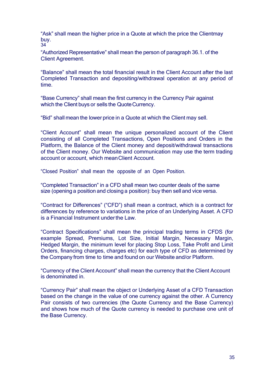"Ask" shall mean the higher price in a Quote at which the price the Clientmay buy. 34

"Authorized Representative" shall mean the person of paragraph 36.1. of the Client Agreement.

"Balance" shall mean the total financial result in the Client Account after the last Completed Transaction and depositing/withdrawal operation at any period of time.

"Base Currency" shall mean the first currency in the Currency Pair against which the Client buys or sells the Quote Currency.

"Bid" shall mean the lower price in a Quote at which the Client may sell.

"Client Account" shall mean the unique personalized account of the Client consisting of all Completed Transactions, Open Positions and Orders in the Platform, the Balance of the Client money and deposit/withdrawal transactions of the Client money. Our Website and communication may use the term trading account or account, which meanClient Account.

"Closed Position" shall mean the opposite of an Open Position.

"Completed Transaction" in a CFD shall mean two counter deals of the same size (opening a position and closing a position): buy then sell and vice versa.

"Contract for Differences" ("CFD") shall mean a contract, which is a contract for differences by reference to variations in the price of an Underlying Asset. A CFD is a Financial Instrument underthe Law.

"Contract Specifications" shall mean the principal trading terms in CFDS (for example Spread, Premiums, Lot Size, Initial Margin, Necessary Margin, Hedged Margin, the minimum level for placing Stop Loss, Take Profit and Limit Orders, financing charges, charges etc) for each type of CFD as determined by the Company from time to time and found on our Website and/or Platform.

"Currency of the Client Account" shall mean the currency that the Client Account is denominated in.

"Currency Pair" shall mean the object or Underlying Asset of a CFD Transaction based on the change in the value of one currency against the other. A Currency Pair consists of two currencies (the Quote Currency and the Base Currency) and shows how much of the Quote currency is needed to purchase one unit of the Base Currency.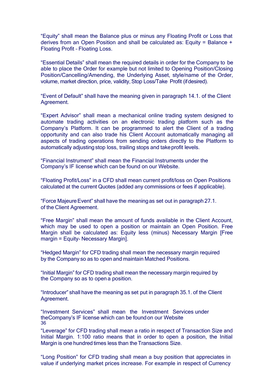"Equity" shall mean the Balance plus or minus any Floating Profit or Loss that derives from an Open Position and shall be calculated as: Equity = Balance + Floating Profit – Floating Loss.

"Essential Details" shall mean the required details in order for the Company to be able to place the Order for example but not limited to Opening Position/Closing Position/Cancelling/Amending, the Underlying Asset, style/name of the Order, volume, market direction, price, validity, Stop Loss/Take Profit (if desired).

"Event of Default" shall have the meaning given in paragraph 14.1. of the Client Agreement.

"Expert Advisor" shall mean a mechanical online trading system designed to automate trading activities on an electronic trading platform such as the Company's Platform. It can be programmed to alert the Client of a trading opportunity and can also trade his Client Account automatically managing all aspects of trading operations from sending orders directly to the Platform to automatically adjusting stop loss, trailing stops and takeprofit levels.

"Financial Instrument" shall mean the Financial Instruments under the Company's IF license which can be found on our Website.

"Floating Profit/Loss" in a CFD shall mean current profit/loss on Open Positions calculated at the current Quotes (added any commissions or fees if applicable).

"Force MajeureEvent" shall have the meaningas set out in paragraph 27.1. of the Client Agreement.

"Free Margin" shall mean the amount of funds available in the Client Account, which may be used to open a position or maintain an Open Position. Free Margin shall be calculated as: Equity less (minus) Necessary Margin [Free margin = Equity- Necessary Margin].

"Hedged Margin" for CFD trading shall mean the necessary margin required by the Company so as to open and maintain Matched Positions.

"Initial Margin" for CFD trading shall mean the necessary margin required by the Company so as to open a position.

"Introducer" shall have the meaning as set put in paragraph 35.1. of the Client Agreement.

"Investment Services" shall mean the Investment Services under theCompany's IF license which can be foundon our Website 36

"Leverage" for CFD trading shall mean a ratio in respect of Transaction Size and Initial Margin. 1:100 ratio means that in order to open a position, the Initial Margin is one hundred times less than the Transactions Size.

"Long Position" for CFD trading shall mean a buy position that appreciates in value if underlying market prices increase. For example in respect of Currency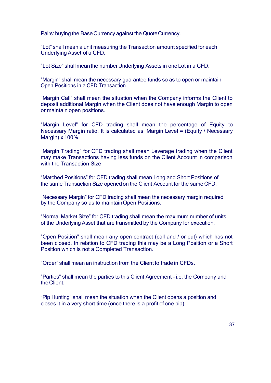Pairs: buying the Base Currency against the QuoteCurrency.

"Lot" shall mean a unit measuring the Transaction amount specified for each Underlying Asset of a CFD.

"Lot Size" shall meanthe numberUnderlying Assets in one Lot in a CFD.

"Margin" shall mean the necessary guarantee funds so as to open or maintain Open Positions in a CFD Transaction.

"Margin Call" shall mean the situation when the Company informs the Client to deposit additional Margin when the Client does not have enough Margin to open or maintain open positions.

"Маrgin Level" for CFD trading shall mean the percentage of Equity to Necessary Margin ratio. It is calculated as: Margin Level = (Equity / Necessary Margin) x 100%.

"Margin Trading" for CFD trading shall mean Leverage trading when the Client may make Transactions having less funds on the Client Account in comparison with the Transaction Size.

"Matched Positions" for CFD trading shall mean Long and Short Positions of the same Transaction Size opened on the Client Account for the same CFD.

"Necessary Margin" for CFD trading shall mean the necessary margin required by the Company so as to maintainOpen Positions.

"Normal Market Size" for CFD trading shall mean the maximum number of units of the Underlying Asset that are transmitted by the Company for execution.

"Open Position" shall mean any open contract (call and / or put) which has not been closed. In relation to CFD trading this may be a Long Position or a Short Position which is not a Completed Transaction.

"Order" shall mean an instruction from the Client to trade in CFDs.

"Parties" shall mean the parties to this Client Agreement – i.e. the Company and the Client.

"Pip Hunting" shall mean the situation when the Client opens a position and closes it in a very short time (once there is a profit of one pip).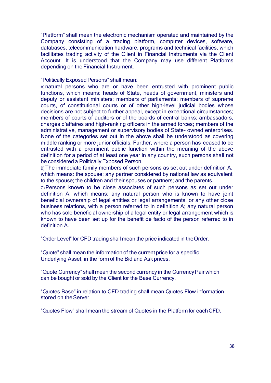"Platform" shall mean the electronic mechanism operated and maintained by the Company consisting of a trading platform, computer devices, software, databases, telecommunication hardware, programs and technical facilities, which facilitates trading activity of the Client in Financial Instruments via the Client Account. It is understood that the Company may use different Platforms depending on the Financial Instrument.

#### "Politically Exposed Persons" shall mean:

A)natural persons who are or have been entrusted with prominent public functions, which means: heads of State, heads of government, ministers and deputy or assistant ministers; members of parliaments; members of supreme courts, of constitutional courts or of other high-level judicial bodies whose decisions are not subject to further appeal, except in exceptional circumstances; members of courts of auditors or of the boards of central banks; ambassadors, chargés d'affaires and high-ranking officers in the armed forces; members of the administrative, management or supervisory bodies of State- owned enterprises. None of the categories set out in the above shall be understood as covering middle ranking or more junior officials. Further, where a person has ceased to be entrusted with a prominent public function within the meaning of the above definition for a period of at least one year in any country, such persons shall not be considered a Politically Exposed Person.

B) The immediate family members of such persons as set out under definition A, which means: the spouse; any partner considered by national law as equivalent to the spouse; the children and their spouses or partners; and the parents.

C)Persons known to be close associates of such persons as set out under definition A, which means: any natural person who is known to have joint beneficial ownership of legal entities or legal arrangements, or any other close business relations, with a person referred to in definition A; any natural person who has sole beneficial ownership of a legal entity or legal arrangement which is known to have been set up for the benefit de facto of the person referred to in definition A.

"Order Level" for CFD trading shall mean the price indicated in theOrder.

"Quote" shall mean the information of the current price for a specific Underlying Asset, in the form of the Bid and Ask prices.

"Quote Currency" shall mean the second currency in the CurrencyPair which can be bought or sold by the Client for the Base Currency.

"Quotes Base" in relation to CFD trading shall mean Quotes Flow information stored on the Server.

"Quotes Flow" shall mean the stream of Quotes in the Platform for eachCFD.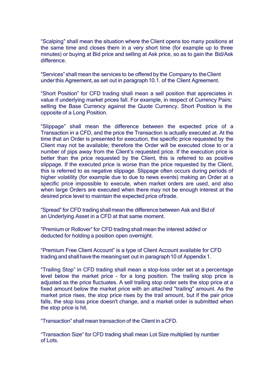"Scalping" shall mean the situation where the Client opens too many positions at the same time and closes them in a very short time (for example up to three minutes) or buying at Bid price and selling at Ask price, so as to gain the Bid/Ask difference.

"Services" shall mean the services to be offered by the Company to theClient underthis Agreement, as set out in paragraph10.1. of the Client Agreement.

"Short Position" for CFD trading shall mean a sell position that appreciates in value if underlying market prices fall. For example, in respect of Currency Pairs: selling the Base Currency against the Quote Currency. Short Position is the opposite of a Long Position.

"Slippage" shall mean the difference between the expected price of a Transaction in a CFD, and the price the Transaction is actually executed at. At the time that an Order is presented for execution, the specific price requested by the Client may not be available; therefore the Order will be executed close to or a number of pips away from the Client's requested price. If the execution price is better than the price requested by the Client, this is referred to as positive slippage. If the executed price is worse than the price requested by the Client, this is referred to as negative slippage. Slippage often occurs during periods of higher volatility (for example due to due to news events) making an Order at a specific price impossible to execute, when market orders are used, and also when large Orders are executed when there may not be enough interest at the desired price level to maintain the expected price oftrade.

"Spread" for CFD trading shall mean the difference between Ask and Bid of an Underlying Asset in a CFD at that same moment.

"Premium or Rollover" for CFD trading shall mean the interest added or deducted for holding a position open overnight.

"Premium Free Client Account" is a type of Client Account available for CFD trading and shall have the meaning set out in paragraph 10 of Appendix 1.

"Trailing Stop" in CFD trading shall mean a stop-loss order set at a percentage level below the market price - for a long position. The trailing stop price is adjusted as the price fluctuates. A sell trailing stop order sets the stop price at a fixed amount below the market price with an attached "trailing" amount. As the market price rises, the stop price rises by the trail amount, but if the pair price falls, the stop loss price doesn't change, and a market order is submitted when the stop price is hit.

"Transaction" shall mean transaction of the Client in aCFD.

"Transaction Size" for CFD trading shall mean Lot Size multiplied by number of Lots.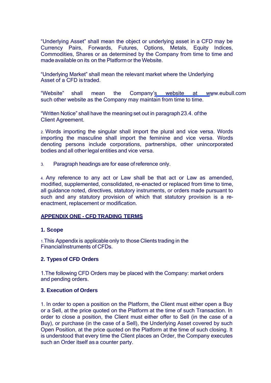"Underlying Asset" shall mean the object or underlying asset in a CFD may be Currency Pairs, Forwards, Futures, Options, Metals, Equity Indices, Commodities, Shares or as determined by the Company from time to time and madeavailable on its on the Platformor the Website.

"Underlying Market" shall mean the relevant market where the Underlying Asset of a CFD is traded.

"Website" shall mean the Company's website at [www.eubull.com](http://www.eubull.com/) such other website as the Company may maintain from time to time.

"Written Notice" shall have the meaning set out in paragraph23.4. ofthe Client Agreement.

2. Words importing the singular shall import the plural and vice versa. Words importing the masculine shall import the feminine and vice versa. Words denoting persons include corporations, partnerships, other unincorporated bodies and all other legal entities and vice versa.

3. Paragraph headings are for ease ofreference only.

4. Any reference to any act or Law shall be that act or Law as amended, modified, supplemented, consolidated, re-enacted or replaced from time to time, all guidance noted, directives, statutory instruments, or orders made pursuant to such and any statutory provision of which that statutory provision is a reenactment, replacement or modification.

#### **APPENDIX ONE - CFD TRADING TERMS**

#### **1. Scope**

1.This Appendix is applicable only to those Clients trading in the FinancialInstruments of CFDs.

# **2. Typesof CFD Orders**

1.The following CFD Orders may be placed with the Company: market orders and pending orders.

#### **3. Execution of Orders**

1. In order to open a position on the Platform, the Client must either open a Buy or a Sell, at the price quoted on the Platform at the time of such Transaction. In order to close a position, the Client must either offer to Sell (in the case of a Buy), or purchase (in the case of a Sell), the Underlying Asset covered by such Open Position, at the price quoted on the Platform at the time of such closing. It is understood that every time the Client places an Order, the Company executes such an Order itself as a counter party.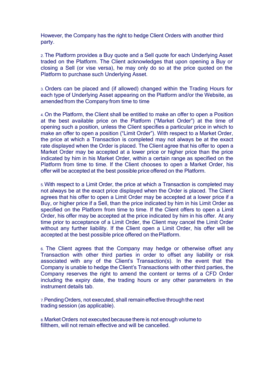However, the Company has the right to hedge Client Orders with another third party.

2. The Platform provides a Buy quote and a Sell quote for each Underlying Asset traded on the Platform. The Client acknowledges that upon opening a Buy or closing a Sell (or vise versa), he may only do so at the price quoted on the Platform to purchase such Underlying Asset.

3. Orders can be placed and (if allowed) changed within the Trading Hours for each type of Underlying Asset appearing on the Platform and/or the Website, as amended from the Company from time to time

4. On the Platform, the Client shall be entitled to make an offer to open a Position at the best available price on the Platform ("Market Order") at the time of opening such a position, unless the Client specifies a particular price in which to make an offer to open a position ("Limit Order"). With respect to a Market Order, the price at which a Transaction is completed may not always be at the exact rate displayed when the Order is placed. The Client agree that his offer to open a Market Order may be accepted at a lower price or higher price than the price indicated by him in his Market Order, within a certain range as specified on the Platform from time to time. If the Client chooses to open a Market Order, his offer will be accepted at the best possible price offered on the Platform.

5. With respect to a Limit Order, the price at which a Transaction is completed may not always be at the exact price displayed when the Order is placed. The Client agrees that his offer to open a Limit Order may be accepted at a lower price if a Buy, or higher price if a Sell, than the price indicated by him in his Limit Order as specified on the Platform from time to time. If the Client offers to open a Limit Order, his offer may be accepted at the price indicated by him in his offer. At any time prior to acceptance of a Limit Order, the Client may cancel the Limit Order without any further liability. If the Client open a Limit Order, his offer will be accepted at the best possible price offered on thePlatform.

6. The Client agrees that the Company may hedge or otherwise offset any Transaction with other third parties in order to offset any liability or risk associated with any of the Client's Transaction(s). In the event that the Company is unable to hedge the Client's Transactions with other third parties, the Company reserves the right to amend the content or terms of a CFD Order including the expiry date, the trading hours or any other parameters in the instrument details tab.

7.PendingOrders, not executed, shall remain effective throughthe next trading session (as applicable).

8.Market Orders not executed because there is not enough volume to fillthem, will not remain effective and will be cancelled.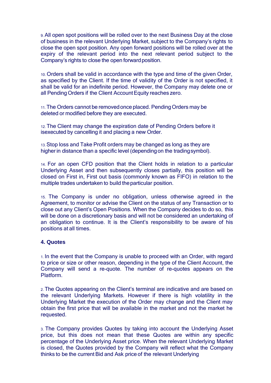9. All open spot positions will be rolled over to the next Business Day at the close of business in the relevant Underlying Market, subject to the Company's rights to close the open spot position. Any open forward positions will be rolled over at the expiry of the relevant period into the next relevant period subject to the Company's rights to close the open forward position.

10. Orders shall be valid in accordance with the type and time of the given Order, as specified by the Client. If the time of validity of the Order is not specified, it shall be valid for an indefinite period. However, the Company may delete one or all Pending Orders if the Client Account Equity reaches zero.

11. The Orders cannot be removedonce placed. PendingOrders may be deleted or modified before they are executed.

12. The Client may change the expiration date of Pending Orders before it isexecuted by cancelling it and placing a new Order.

13.Stop loss and Take Profit orders may be changed as long as they are higher in distance than a specific level (depending on the trading symbol).

14. For an open CFD position that the Client holds in relation to a particular Underlying Asset and then subsequently closes partially, this position will be closed on First in, First out basis (commonly known as FIFO) in relation to the multiple trades undertaken to build theparticular position.

15. The Company is under no obligation, unless otherwise agreed in the Agreement, to monitor or advise the Client on the status of any Transaction or to close out any Client's Open Positions. When the Company decides to do so, this will be done on a discretionary basis and will not be considered an undertaking of an obligation to continue. It is the Client's responsibility to be aware of his positions at all times.

# **4. Quotes**

1. In the event that the Company is unable to proceed with an Order, with regard to price or size or other reason, depending in the type of the Client Account, the Company will send a re-quote. The number of re-quotes appears on the Platform.

2. The Quotes appearing on the Client's terminal are indicative and are based on the relevant Underlying Markets. However if there is high volatility in the Underlying Market the execution of the Order may change and the Client may obtain the first price that will be available in the market and not the market he requested.

3. The Company provides Quotes by taking into account the Underlying Asset price, but this does not mean that these Quotes are within any specific percentage of the Underlying Asset price. When the relevant Underlying Market is closed, the Quotes provided by the Company will reflect what the Company thinks to be the current Bid and Ask price of the relevant Underlying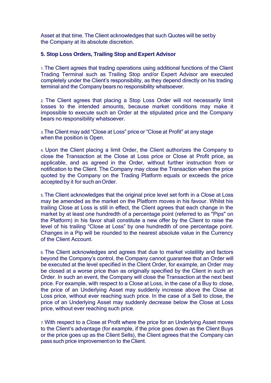Asset at that time. The Client acknowledges that such Quotes will be setby the Company at its absolute discretion.

#### **5. Stop Loss Orders, Trailing Stop and Expert Advisor**

1. The Client agrees that trading operations using additional functions of the Client Trading Terminal such as Trailing Stop and/or Expert Advisor are executed completely under the Client's responsibility, as they depend directly on his trading terminal and the Company bears no responsibility whatsoever.

2. The Client agrees that placing a Stop Loss Order will not necessarily limit losses to the intended amounts, because market conditions may make it impossible to execute such an Order at the stipulated price and the Company bears no responsibility whatsoever.

3.The Client may add "Close at Loss" price or "Close at Profit" at any stage when the position is Open.

4. Upon the Client placing a limit Order, the Client authorizes the Company to close the Transaction at the Close at Loss price or Close at Profit price, as applicable, and as agreed in the Order, without further instruction from or notification to the Client. The Company may close the Transaction when the price quoted by the Company on the Trading Platform equals or exceeds the price accepted by it for such anOrder.

5. The Client acknowledges that the original price level set forth in a Close at Loss may be amended as the market on the Platform moves in his favour. Whilst his trailing Close at Loss is still in effect, the Client agrees that each change in the market by at least one hundredth of a percentage point (referred to as "Pips" on the Platform) in his favor shall constitute a new offer by the Client to raise the level of his trailing "Close at Loss" by one hundredth of one percentage point. Changes in a Pip will be rounded to the nearest absolute value in the Currency of the Client Account.

6. The Client acknowledges and agrees that due to market volatility and factors beyond the Company's control, the Company cannot guarantee that an Order will be executed at the level specified in the Client Order, for example, an Order may be closed at a worse price than as originally specified by the Client in such an Order. In such an event, the Company will close the Transaction at the next best price. For example, with respect to a Close at Loss, in the case of a Buy to close, the price of an Underlying Asset may suddenly increase above the Close at Loss price, without ever reaching such price. In the case of a Sell to close, the price of an Underlying Asset may suddenly decrease below the Close at Loss price, without ever reaching such price.

7. With respect to a Close at Profit where the price for an Underlying Asset moves to the Client's advantage (for example, if the price goes down as the Client Buys or the price goes up as the Client Sells), the Client agrees that the Company can pass such price improvementon to the Client.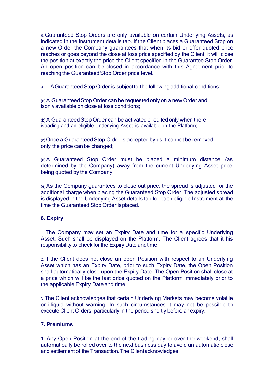8. Guaranteed Stop Orders are only available on certain Underlying Assets, as indicated in the instrument details tab. If the Client places a Guaranteed Stop on a new Order the Company guarantees that when its bid or offer quoted price reaches or goes beyond the close at loss price specified by the Client, it will close the position at exactly the price the Client specified in the Guarantee Stop Order. An open position can be closed in accordance with this Agreement prior to reaching the GuaranteedStop Order price level.

9. AGuaranteed Stop Order is subjectto the following additional conditions:

(a) A Guaranteed Stop Order can be requested only on a new Order and isonly available on close at loss conditions;

(b) A Guaranteed Stop Order can be activated or edited only when there istrading and an eligible Underlying Asset is available on the Platform;

(c) Once a Guaranteed Stop Order is accepted by us it cannot be removedonly the price can be changed;

(d)A Guaranteed Stop Order must be placed a minimum distance (as determined by the Company) away from the current Underlying Asset price being quoted by the Company;

(e)As the Company guarantees to close out price, the spread is adjusted for the additional charge when placing the Guaranteed Stop Order. The adjusted spread is displayed in the Underlying Asset details tab for each eligible Instrument at the time the Guaranteed Stop Order isplaced.

# **6. Expiry**

1. The Company may set an Expiry Date and time for a specific Underlying Asset. Such shall be displayed on the Platform. The Client agrees that it his responsibility to check for the Expiry Date andtime.

2. If the Client does not close an open Position with respect to an Underlying Asset which has an Expiry Date, prior to such Expiry Date, the Open Position shall automatically close upon the Expiry Date. The Open Position shall close at a price which will be the last price quoted on the Platform immediately prior to the applicable Expiry Date and time.

3. The Client acknowledges that certain Underlying Markets may become volatile or illiquid without warning. In such circumstances it may not be possible to execute Client Orders, particularly in the period shortly before anexpiry.

# **7. Premiums**

1. Any Open Position at the end of the trading day or over the weekend, shall automatically be rolled over to the next business day to avoid an automatic close and settlement of the Transaction.The Clientacknowledges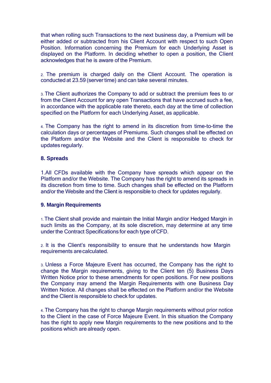that when rolling such Transactions to the next business day, a Premium will be either added or subtracted from his Client Account with respect to such Open Position. Information concerning the Premium for each Underlying Asset is displayed on the Platform. In deciding whether to open a position, the Client acknowledges that he is aware of the Premium.

2. The premium is charged daily on the Client Account. The operation is conducted at 23.59 (server time) and can take several minutes.

3. The Client authorizes the Company to add or subtract the premium fees to or from the Client Account for any open Transactions that have accrued such a fee, in accordance with the applicable rate thereto, each day at the time of collection specified on the Platform for each Underlying Asset, as applicable.

4. The Company has the right to amend in its discretion from time-to-time the calculation days or percentages of Premiums. Such changes shall be effected on the Platform and/or the Website and the Client is responsible to check for updates regularly.

## **8. Spreads**

1.All CFDs available with the Company have spreads which appear on the Platform and/or the Website. The Company has the right to amend its spreads in its discretion from time to time. Such changes shall be effected on the Platform and/or the Website and the Client is responsible to check for updates regularly.

#### **9. Margin Requirements**

1. The Client shall provide and maintain the Initial Margin and/or Hedged Margin in such limits as the Company, at its sole discretion, may determine at any time under the Contract Specifications for each type ofCFD.

2. It is the Client's responsibility to ensure that he understands how Margin requirements arecalculated.

3. Unless a Force Majeure Event has occurred, the Company has the right to change the Margin requirements, giving to the Client ten (5) Business Days Written Notice prior to these amendments for open positions. For new positions the Company may amend the Margin Requirements with one Business Day Written Notice. All changes shall be effected on the Platform and/or the Website and the Client is responsible to check for updates.

4. The Company has the right to change Margin requirements without prior notice to the Client in the case of Force Majeure Event. In this situation the Company has the right to apply new Margin requirements to the new positions and to the positions which are already open.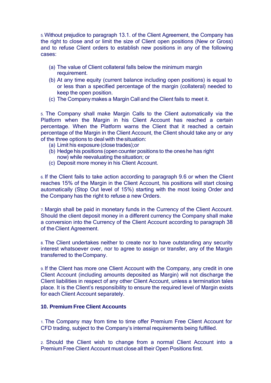5. Without prejudice to paragraph 13.1. of the Client Agreement, the Company has the right to close and or limit the size of Client open positions (New or Gross) and to refuse Client orders to establish new positions in any of the following cases:

- (a) The value of Client collateral falls below the minimum margin requirement.
- (b) At any time equity (current balance including open positions) is equal to or less than a specified percentage of the margin (collateral) needed to keep the open position.
- (c) The Company makes a Margin Call and the Client fails to meet it.

5. The Company shall make Margin Calls to the Client automatically via the Platform when the Margin in his Client Account has reached a certain percentage. When the Platform warns the Client that it reached a certain percentage of the Margin in the Client Account, the Client should take any or any of the three options to deal with thesituation:

- (a) Limit his exposure (close trades);or
- (b) Hedge his positions (open counter positions to the oneshe has right now) while reevaluating the situation; or
- (c) Deposit more money in his Client Account.

6. If the Client fails to take action according to paragraph 9.6 or when the Client reaches 15% of the Margin in the Client Account, his positions will start closing automatically (Stop Out level of 15%) starting with the most losing Order and the Company has the right to refuse a new Orders.

7. Margin shall be paid in monetary funds in the Currency of the Client Account. Should the client deposit money in a different currency the Company shall make a conversion into the Currency of the Client Account according to paragraph 38 of the Client Agreement.

8. The Client undertakes neither to create nor to have outstanding any security interest whatsoever over, nor to agree to assign or transfer, any of the Margin transferred to theCompany.

9. If the Client has more one Client Account with the Company, any credit in one Client Account (including amounts deposited as Margin) will not discharge the Client liabilities in respect of any other Client Account, unless a termination tales place. It is the Client's responsibility to ensure the required level of Margin exists for each Client Account separately.

#### **10. Premium Free Client Accounts**

1. The Company may from time to time offer Premium Free Client Account for CFD trading, subject to the Company's internal requirements being fulfilled.

2. Should the Client wish to change from a normal Client Account into a Premium Free Client Account must close all their Open Positions first.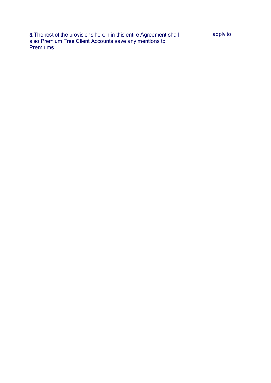3.The rest of the provisions herein in this entire Agreement shall also Premium Free Client Accounts save any mentions to Premiums.

apply to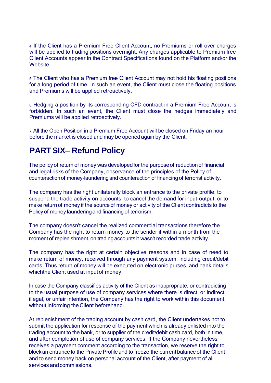4. If the Client has a Premium Free Client Account, no Premiums or roll over charges will be applied to trading positions overnight. Any charges applicable to Premium free Client Accounts appear in the Contract Specifications found on the Platform and/or the Website.

5. The Client who has a Premium free Client Account may not hold his floating positions for a long period of time. In such an event, the Client must close the floating positions and Premiums will be applied retroactively.

6. Hedging a position by its corresponding CFD contract in a Premium Free Account is forbidden. In such an event, the Client must close the hedges immediately and Premiums will be applied retroactively.

7. All the Open Position in a Premium Free Account will be closed on Friday an hour before the market is closed and may be opened again by the Client.

# **PARTSIX– Refund Policy**

The policyof return of money was developedfor the purposeof reductionof financial and legal risks of the Company, observance of the principles of the Policy of counteraction of money-laundering and counteraction of financing of terrorist activity.

The company has the right unilaterally block an entrance to the private profile, to suspend the trade activity on accounts, to cancel the demand for input-output, or to make return of money if the source of money or activity of the Client contradicts to the Policy of money launderingand financing of terrorism.

The company doesn't cancel the realized commercial transactions therefore the Company has the right to return money to the sender if within a month from the moment of replenishment, on tradingaccounts it wasn't recorded trade activity.

The company has the right at certain objective reasons and in case of need to make return of money, received through any payment system, including credit/debit cards. Thus return of money will be executed on electronic purses, and bank details whichthe Client used at input of money.

In case the Company classifies activity of the Client as inappropriate, or contradicting to the usual purpose of use of company services where there is direct, or indirect, illegal, or unfair intention, the Company has the right to work within this document, without informing the Client beforehand.

At replenishment of the trading account by cash card, the Client undertakes not to submit the application for response of the payment which is already enlisted into the trading account to the bank, or to supplier of the credit/debit cash card, both in time, and after completion of use of company services. If the Company nevertheless receives a payment comment according to the transaction, we reserve the right to block an entrance to the Private Profile and to freeze the current balance of the Client and to send money back on personal account of the Client, after payment of all services and commissions.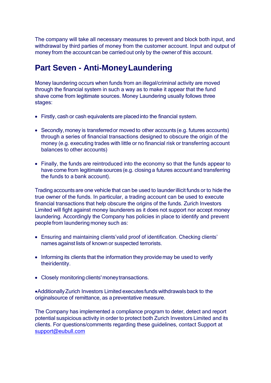The company will take all necessary measures to prevent and block both input, and withdrawal by third parties of money from the customer account. Input and output of money from the account can be carried out only by the owner of this account.

# **Part Seven - Anti-MoneyLaundering**

Money laundering occurs when funds from an illegal/criminal activity are moved through the financial system in such a way as to make it appear that the fund shave come from legitimate sources. Money Laundering usually follows three stages:

- Firstly, cash or cash equivalents are placedinto the financial system.
- Secondly, money is transferred or moved to other accounts (e.g. futures accounts) through a series of financial transactions designed to obscure the origin of the money (e.g. executing trades with little or no financial risk or transferring account balances to other accounts)
- Finally, the funds are reintroduced into the economy so that the funds appear to have come from legitimate sources (e.g. closing a futures account and transferring the funds to a bank account).

Trading accountsare one vehicle that can be used to launderillicit funds or to hide the true owner of the funds. In particular, a trading account can be used to execute financial transactions that help obscure the origins of the funds. Zurich Investors Limited will fight against money launderers as it does not support nor accept money laundering. Accordingly the Company has policies in place to identify and prevent people from laundering money such as:

- Ensuring and maintaining clients'valid proof of identification. Checking clients' names against lists of known or suspected terrorists.
- Informing its clients that the information they provide may be used to verify theiridentity.
- Closely monitoring clients' money transactions.

AdditionallyZurich Investors Limited executesfunds withdrawalsback to the originalsource of remittance, as a preventative measure.

The Company has implemented a compliance program to deter, detect and report potential suspicious activity in order to protect both Zurich Investors Limited and its clients. For questions/comments regarding these guidelines, contact Support at [support@e](mailto:support@swedencap.com)ubull.com